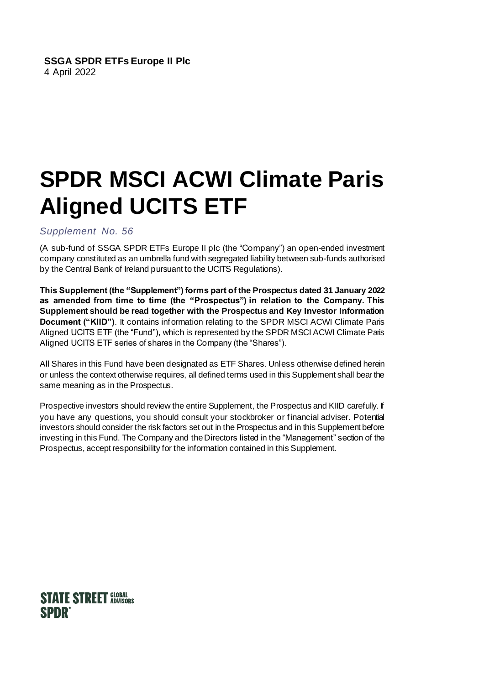#### **SSGA SPDR ETFs Europe II Plc** 4 April 2022

# **SPDR MSCI ACWI Climate Paris Aligned UCITS ETF**

### *Supplement No. 56*

(A sub-fund of SSGA SPDR ETFs Europe II plc (the "Company") an open-ended investment company constituted as an umbrella fund with segregated liability between sub-funds authorised by the Central Bank of Ireland pursuant to the UCITS Regulations).

**This Supplement (the "Supplement") forms part of the Prospectus dated 31 January 2022 as amended from time to time (the "Prospectus") in relation to the Company. This Supplement should be read together with the Prospectus and Key Investor Information Document ("KIID")**. It contains information relating to the SPDR MSCI ACWI Climate Paris Aligned UCITS ETF (the "Fund"), which is represented by the SPDR MSCI ACWI Climate Paris Aligned UCITS ETF series of shares in the Company (the "Shares").

All Shares in this Fund have been designated as ETF Shares. Unless otherwise defined herein or unless the context otherwise requires, all defined terms used in this Supplement shall bear the same meaning as in the Prospectus.

Prospective investors should review the entire Supplement, the Prospectus and KIID carefully. If you have any questions, you should consult your stockbroker or financial adviser. Potential investors should consider the risk factors set out in the Prospectus and in this Supplement before investing in this Fund. The Company and the Directors listed in the "Management" section of the Prospectus, accept responsibility for the information contained in this Supplement.

## **STATE STREET GLOBAL SPDR**®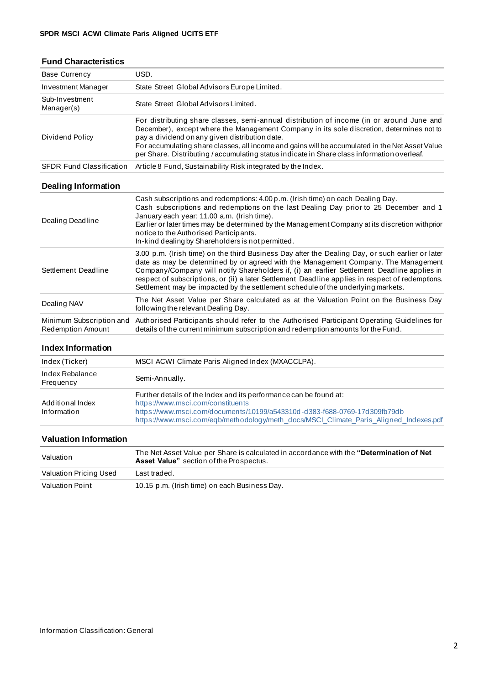### **Fund Characteristics**

| <b>Base Currency</b>                          | USD.                                                                                                                                                                                                                                                                                                                                                                                                                                                                         |  |  |  |  |  |  |
|-----------------------------------------------|------------------------------------------------------------------------------------------------------------------------------------------------------------------------------------------------------------------------------------------------------------------------------------------------------------------------------------------------------------------------------------------------------------------------------------------------------------------------------|--|--|--|--|--|--|
| Investment Manager                            | State Street Global Advisors Europe Limited.                                                                                                                                                                                                                                                                                                                                                                                                                                 |  |  |  |  |  |  |
| Sub-Investment<br>Manager(s)                  | State Street Global Advisors Limited.                                                                                                                                                                                                                                                                                                                                                                                                                                        |  |  |  |  |  |  |
| Dividend Policy                               | For distributing share classes, semi-annual distribution of income (in or around June and<br>December), except where the Management Company in its sole discretion, determines not to<br>pay a dividend on any given distribution date.<br>For accumulating share classes, all income and gains will be accumulated in the Net Asset Value<br>per Share. Distributing / accumulating status indicate in Share class information overleaf.                                    |  |  |  |  |  |  |
| <b>SFDR Fund Classification</b>               | Article 8 Fund, Sustainability Risk integrated by the Index.                                                                                                                                                                                                                                                                                                                                                                                                                 |  |  |  |  |  |  |
| <b>Dealing Information</b>                    |                                                                                                                                                                                                                                                                                                                                                                                                                                                                              |  |  |  |  |  |  |
| Dealing Deadline                              | Cash subscriptions and redemptions: 4.00 p.m. (Irish time) on each Dealing Day.<br>Cash subscriptions and redemptions on the last Dealing Day prior to 25 December and 1<br>January each year: 11.00 a.m. (Irish time).<br>Earlier or later times may be determined by the Management Company at its discretion with prior<br>notice to the Authorised Participants.<br>In-kind dealing by Shareholders is not permitted.                                                    |  |  |  |  |  |  |
| Settlement Deadline                           | 3.00 p.m. (Irish time) on the third Business Day after the Dealing Day, or such earlier or later<br>date as may be determined by or agreed with the Management Company. The Management<br>Company/Company will notify Shareholders if, (i) an earlier Settlement Deadline applies in<br>respect of subscriptions, or (ii) a later Settlement Deadline applies in respect of redemptions.<br>Settlement may be impacted by the settlement schedule of the underlying markets. |  |  |  |  |  |  |
| Dealing NAV                                   | The Net Asset Value per Share calculated as at the Valuation Point on the Business Day<br>following the relevant Dealing Day.                                                                                                                                                                                                                                                                                                                                                |  |  |  |  |  |  |
| Minimum Subscription and<br>Redemption Amount | Authorised Participants should refer to the Authorised Participant Operating Guidelines for<br>details of the current minimum subscription and redemption amounts for the Fund.                                                                                                                                                                                                                                                                                              |  |  |  |  |  |  |

#### **Index Information**

| Index (Ticker)                  | MSCI ACWI Climate Paris Aligned Index (MXACCLPA).                                                                                                                                                                                                                            |
|---------------------------------|------------------------------------------------------------------------------------------------------------------------------------------------------------------------------------------------------------------------------------------------------------------------------|
| Index Rebalance<br>Frequency    | Semi-Annually.                                                                                                                                                                                                                                                               |
| Additional Index<br>Information | Further details of the Index and its performance can be found at:<br>https://www.msci.com/constituents<br>https://www.msci.com/documents/10199/a543310d-d383-f688-0769-17d309fb79db<br>https://www.msci.com/eqb/methodology/meth_docs/MSCI_Climate_Paris_Aligned_Indexes.pdf |

#### **Valuation Information**

| Valuation              | The Net Asset Value per Share is calculated in accordance with the "Determination of Net<br>Asset Value" section of the Prospectus. |
|------------------------|-------------------------------------------------------------------------------------------------------------------------------------|
| Valuation Pricing Used | Last traded.                                                                                                                        |
| Valuation Point        | 10.15 p.m. (Irish time) on each Business Day.                                                                                       |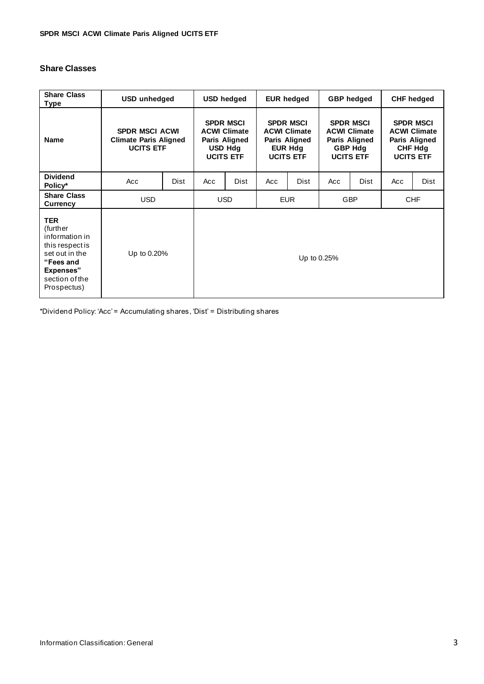#### **Share Classes**

| <b>Share Class</b><br>Type                                                                                                                | <b>USD</b> unhedged                                                       |             | <b>USD hedged</b>                                                                              |             | <b>EUR hedged</b>                                                                              |      | <b>GBP</b> hedged                                                                              |             | <b>CHF</b> hedged                                                                              |      |
|-------------------------------------------------------------------------------------------------------------------------------------------|---------------------------------------------------------------------------|-------------|------------------------------------------------------------------------------------------------|-------------|------------------------------------------------------------------------------------------------|------|------------------------------------------------------------------------------------------------|-------------|------------------------------------------------------------------------------------------------|------|
| <b>Name</b>                                                                                                                               | <b>SPDR MSCI ACWI</b><br><b>Climate Paris Aligned</b><br><b>UCITS ETF</b> |             | <b>SPDR MSCI</b><br><b>ACWI Climate</b><br>Paris Aligned<br><b>USD Hdg</b><br><b>UCITS ETF</b> |             | <b>SPDR MSCI</b><br><b>ACWI Climate</b><br>Paris Aligned<br><b>EUR Hdg</b><br><b>UCITS ETF</b> |      | <b>SPDR MSCI</b><br><b>ACWI Climate</b><br>Paris Aligned<br><b>GBP Hdg</b><br><b>UCITS ETF</b> |             | <b>SPDR MSCI</b><br><b>ACWI Climate</b><br>Paris Aligned<br><b>CHF Hdg</b><br><b>UCITS ETF</b> |      |
| <b>Dividend</b><br>Policy*                                                                                                                | Acc                                                                       | <b>Dist</b> | Acc                                                                                            | Dist        | Acc                                                                                            | Dist | Acc                                                                                            | <b>Dist</b> | Acc                                                                                            | Dist |
| <b>Share Class</b><br><b>Currency</b>                                                                                                     | USD.                                                                      |             | <b>USD</b>                                                                                     |             | <b>EUR</b>                                                                                     |      | <b>GBP</b>                                                                                     |             | <b>CHF</b>                                                                                     |      |
| <b>TER</b><br>(further)<br>information in<br>this respect is<br>set out in the<br>"Fees and<br>Expenses"<br>section of the<br>Prospectus) | Up to 0.20%                                                               |             |                                                                                                | Up to 0.25% |                                                                                                |      |                                                                                                |             |                                                                                                |      |

\*Dividend Policy: 'Acc' = Accumulating shares, 'Dist' = Distributing shares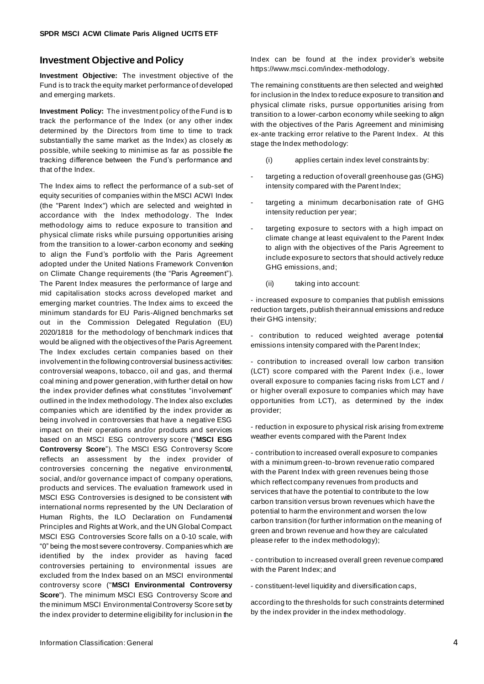#### **Investment Objective and Policy**

**Investment Objective:** The investment objective of the Fund is to track the equity market performance of developed and emerging markets.

**Investment Policy:** The investment policy of the Fund is to track the performance of the Index (or any other index determined by the Directors from time to time to track substantially the same market as the Index) as closely as possible, while seeking to minimise as far as possible the tracking difference between the Fund's performance and that of the Index.

The Index aims to reflect the performance of a sub-set of equity securities of companies within the MSCI ACWI Index (the "Parent Index") which are selected and weighted in accordance with the Index methodology. The Index methodology aims to reduce exposure to transition and physical climate risks while pursuing opportunities arising from the transition to a lower-carbon economy and seeking to align the Fund's portfolio with the Paris Agreement adopted under the United Nations Framework Convention on Climate Change requirements (the "Paris Agreement"). The Parent Index measures the performance of large and mid capitalisation stocks across developed market and emerging market countries. The Index aims to exceed the minimum standards for EU Paris-Aligned benchmarks set out in the Commission Delegated Regulation (EU) 2020/1818 for the methodology of benchmark indices that would be aligned with the objectives of the Paris Agreement. The Index excludes certain companies based on their involvement in the following controversial business activities: controversial weapons, tobacco, oil and gas, and thermal coal mining and power generation, with further detail on how the index provider defines what constitutes "involvement" outlined in the Index methodology. The Index also excludes companies which are identified by the index provider as being involved in controversies that have a negative ESG impact on their operations and/or products and services based on an MSCI ESG controversy score ("**MSCI ESG Controversy Score**"). The MSCI ESG Controversy Score reflects an assessment by the index provider of controversies concerning the negative environmental, social, and/or governance impact of company operations, products and services. The evaluation framework used in MSCI ESG Controversies is designed to be consistent with international norms represented by the UN Declaration of Human Rights, the ILO Declaration on Fundamental Principles and Rights at Work, and the UN Global Compact. MSCI ESG Controversies Score falls on a 0-10 scale, with "0" being the most severe controversy. Companies which are identified by the index provider as having faced controversies pertaining to environmental issues are excluded from the Index based on an MSCI environmental controversy score ("**MSCI Environmental Controversy**  Score"). The minimum MSCI ESG Controversy Score and the minimum MSCI Environmental Controversy Score set by the index provider to determine eligibility for inclusion in the

Index can be found at the index provider's website https://www.msci.com/index-methodology.

The remaining constituents are then selected and weighted for inclusion in the Index to reduce exposure to transition and physical climate risks, pursue opportunities arising from transition to a lower-carbon economy while seeking to align with the objectives of the Paris Agreement and minimising ex-ante tracking error relative to the Parent Index. At this stage the Index methodology:

- (i) applies certain index level constraints by:
- targeting a reduction of overall greenhouse gas (GHG) intensity compared with the Parent Index;
- targeting a minimum decarbonisation rate of GHG intensity reduction per year;
- targeting exposure to sectors with a high impact on climate change at least equivalent to the Parent Index to align with the objectives of the Paris Agreement to include exposure to sectors that should actively reduce GHG emissions, and;
	- (ii) taking into account:

- increased exposure to companies that publish emissions reduction targets, publish their annual emissions and reduce their GHG intensity;

- contribution to reduced weighted average potential emissions intensity compared with the Parent Index;

- contribution to increased overall low carbon transition (LCT) score compared with the Parent Index (i.e., lower overall exposure to companies facing risks from LCT and / or higher overall exposure to companies which may have opportunities from LCT), as determined by the index provider;

- reduction in exposure to physical risk arising from extreme weather events compared with the Parent Index

- contribution to increased overall exposure to companies with a minimum green-to-brown revenue ratio compared with the Parent Index with green revenues being those which reflect company revenues from products and services that have the potential to contribute to the low carbon transition versus brown revenues which have the potential to harm the environment and worsen the low carbon transition (for further information on the meaning of green and brown revenue and how they are calculated please refer to the index methodology);

- contribution to increased overall green revenue compared with the Parent Index; and

- constituent-level liquidity and diversification caps,

according to the thresholds for such constraints determined by the index provider in the index methodology.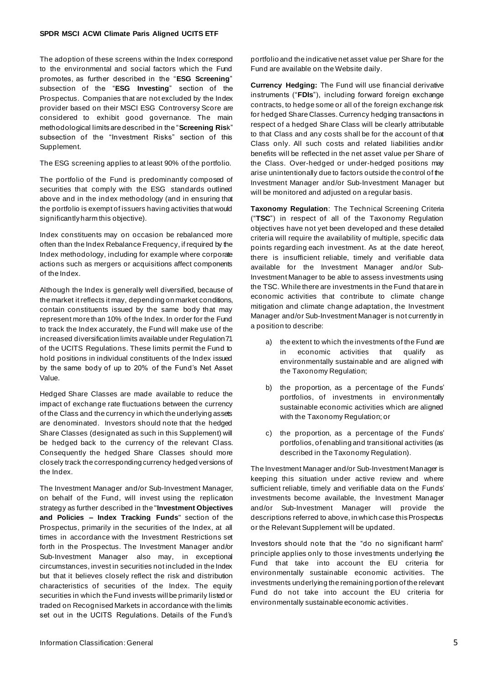The adoption of these screens within the Index correspond to the environmental and social factors which the Fund promotes, as further described in the "**ESG Screening**" subsection of the "**ESG Investing**" section of the Prospectus. Companies that are not excluded by the Index provider based on their MSCI ESG Controversy Score are considered to exhibit good governance. The main methodological limits are described in the "**Screening Ris**k" subsection of the "Investment Risks" section of this Supplement.

The ESG screening applies to at least 90% of the portfolio.

The portfolio of the Fund is predominantly composed of securities that comply with the ESG standards outlined above and in the index methodology (and in ensuring that the portfolio is exempt of issuers having activities that would significantly harm this objective).

Index constituents may on occasion be rebalanced more often than the Index Rebalance Frequency, if required by the Index methodology, including for example where corporate actions such as mergers or acquisitions affect components of the Index.

Although the Index is generally well diversified, because of the market it reflects it may, depending on market conditions, contain constituents issued by the same body that may represent more than 10% of the Index. In order for the Fund to track the Index accurately, the Fund will make use of the increased diversification limits available under Regulation 71 of the UCITS Regulations. These limits permit the Fund to hold positions in individual constituents of the Index issued by the same body of up to 20% of the Fund's Net Asset Value.

Hedged Share Classes are made available to reduce the impact of exchange rate fluctuations between the currency of the Class and the currency in which the underlying assets are denominated. Investors should note that the hedged Share Classes (designated as such in this Supplement) will be hedged back to the currency of the relevant Class. Consequently the hedged Share Classes should more closely track the corresponding currency hedged versions of the Index.

The Investment Manager and/or Sub-Investment Manager, on behalf of the Fund, will invest using the replication strategy as further described in the "**Investment Objectives and Policies – Index Tracking Funds**" section of the Prospectus, primarily in the securities of the Index, at all times in accordance with the Investment Restrictions set forth in the Prospectus. The Investment Manager and/or Sub-Investment Manager also may, in exceptional circumstances, invest in securities not included in the Index but that it believes closely reflect the risk and distribution characteristics of securities of the Index. The equity securities in which the Fund invests will be primarily listed or traded on Recognised Markets in accordance with the limits set out in the UCITS Regulations. Details of the Fund's

portfolio and the indicative net asset value per Share for the Fund are available on the Website daily.

**Currency Hedging:** The Fund will use financial derivative instruments ("**FDIs**"), including forward foreign exchange contracts, to hedge some or all of the foreign exchange risk for hedged Share Classes. Currency hedging transactions in respect of a hedged Share Class will be clearly attributable to that Class and any costs shall be for the account of that Class only. All such costs and related liabilities and/or benefits will be reflected in the net asset value per Share of the Class. Over-hedged or under-hedged positions may arise unintentionally due to factors outside the control of the Investment Manager and/or Sub-Investment Manager but will be monitored and adjusted on a regular basis.

**Taxonomy Regulation**: The Technical Screening Criteria ("**TSC**") in respect of all of the Taxonomy Regulation objectives have not yet been developed and these detailed criteria will require the availability of multiple, specific data points regarding each investment. As at the date hereof, there is insufficient reliable, timely and verifiable data available for the Investment Manager and/or Sub-Investment Manager to be able to assess investments using the TSC. While there are investments in the Fund that are in economic activities that contribute to climate change mitigation and climate change adaptation, the Investment Manager and/or Sub-Investment Manager is not currently in a position to describe:

- a) the extent to which the investments of the Fund are in economic activities that qualify as environmentally sustainable and are aligned with the Taxonomy Regulation;
- b) the proportion, as a percentage of the Funds' portfolios, of investments in environmentally sustainable economic activities which are aligned with the Taxonomy Regulation; or
- c) the proportion, as a percentage of the Funds' portfolios, of enabling and transitional activities (as described in the Taxonomy Regulation).

The Investment Manager and/or Sub-Investment Manager is keeping this situation under active review and where sufficient reliable, timely and verifiable data on the Funds' investments become available, the Investment Manager and/or Sub-Investment Manager will provide the descriptions referred to above, in which case this Prospectus or the Relevant Supplement will be updated.

Investors should note that the "do no significant harm" principle applies only to those investments underlying the Fund that take into account the EU criteria for environmentally sustainable economic activities. The investments underlying the remaining portion of the relevant Fund do not take into account the EU criteria for environmentally sustainable economic activities.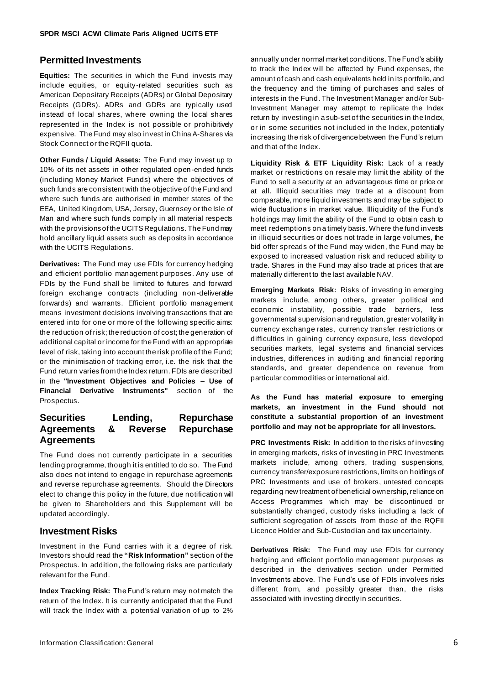#### **Permitted Investments**

**Equities:** The securities in which the Fund invests may include equities, or equity-related securities such as American Depositary Receipts (ADRs) or Global Depositary Receipts (GDRs). ADRs and GDRs are typically used instead of local shares, where owning the local shares represented in the Index is not possible or prohibitively expensive. The Fund may also invest in China A-Shares via Stock Connect or the RQFII quota.

**Other Funds / Liquid Assets:** The Fund may invest up to 10% of its net assets in other regulated open-ended funds (including Money Market Funds) where the objectives of such funds are consistent with the objective of the Fund and where such funds are authorised in member states of the EEA, United Kingdom, USA, Jersey, Guernsey or the Isle of Man and where such funds comply in all material respects with the provisions of the UCITS Regulations. The Fund may hold ancillary liquid assets such as deposits in accordance with the UCITS Regulations.

**Derivatives:** The Fund may use FDIs for currency hedging and efficient portfolio management purposes. Any use of FDIs by the Fund shall be limited to futures and forward foreign exchange contracts (including non -deliverable forwards) and warrants. Efficient portfolio management means investment decisions involving transactions that are entered into for one or more of the following specific aims: the reduction of risk; the reduction of cost; the generation of additional capital or income for the Fund with an appropriate level of risk, taking into account the risk profile of the Fund; or the minimisation of tracking error, i.e. the risk that the Fund return varies from the Index return. FDIs are described in the **"Investment Objectives and Policies – Use of Financial Derivative Instruments"** section of the Prospectus.

#### **Securities Lending, Repurchase Agreements & Reverse Repurchase Agreements**

The Fund does not currently participate in a securities lending programme, though it is entitled to do so. The Fund also does not intend to engage in repurchase agreements and reverse repurchase agreements. Should the Directors elect to change this policy in the future, due notification will be given to Shareholders and this Supplement will be updated accordingly.

#### **Investment Risks**

Investment in the Fund carries with it a degree of risk. Investors should read the **"Risk Information"** section of the Prospectus. In addition, the following risks are particularly relevant for the Fund.

**Index Tracking Risk:** The Fund's return may not match the return of the Index. It is currently anticipated that the Fund will track the Index with a potential variation of up to 2%

annually under normal market conditions. The Fund's ability to track the Index will be affected by Fund expenses, the amount of cash and cash equivalents held in its portfolio, and the frequency and the timing of purchases and sales of interests in the Fund. The Investment Manager and/or Sub-Investment Manager may attempt to replicate the Index return by investing in a sub-set of the securities in the Index, or in some securities not included in the Index, potentially increasing the risk of divergence between the Fund's return and that of the Index.

**Liquidity Risk & ETF Liquidity Risk:** Lack of a ready market or restrictions on resale may limit the ability of the Fund to sell a security at an advantageous time or price or at all. Illiquid securities may trade at a discount from comparable, more liquid investments and may be subject to wide fluctuations in market value. Illiquidity of the Fund's holdings may limit the ability of the Fund to obtain cash to meet redemptions on a timely basis. Where the fund invests in illiquid securities or does not trade in large volumes, the bid offer spreads of the Fund may widen, the Fund may be exposed to increased valuation risk and reduced ability to trade. Shares in the Fund may also trade at prices that are materially different to the last available NAV.

**Emerging Markets Risk:** Risks of investing in emerging markets include, among others, greater political and economic instability, possible trade barriers, less governmental supervision and regulation, greater volatility in currency exchange rates, currency transfer restrictions or difficulties in gaining currency exposure, less developed securities markets, legal systems and financial services industries, differences in auditing and financial reporting standards, and greater dependence on revenue from particular commodities or international aid.

#### **As the Fund has material exposure to emerging markets, an investment in the Fund should not constitute a substantial proportion of an investment portfolio and may not be appropriate for all investors.**

**PRC Investments Risk:** In addition to the risks of investing in emerging markets, risks of investing in PRC Investments markets include, among others, trading suspensions, currency transfer/exposure restrictions, limits on holdings of PRC Investments and use of brokers, untested concepts regarding new treatment of beneficial ownership, reliance on Access Programmes which may be discontinued or substantially changed, custody risks including a lack of sufficient segregation of assets from those of the RQFII Licence Holder and Sub-Custodian and tax uncertainty.

**Derivatives Risk:** The Fund may use FDIs for currency hedging and efficient portfolio management purposes as described in the derivatives section under Permitted Investments above. The Fund's use of FDIs involves risks different from, and possibly greater than, the risks associated with investing directly in securities.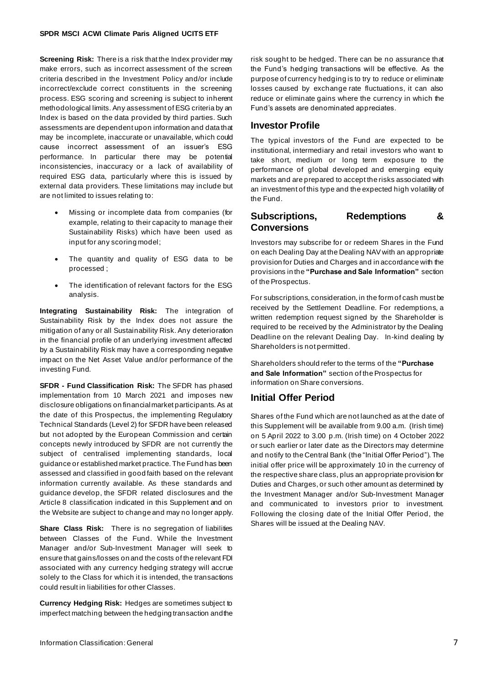**Screening Risk:** There is a risk that the Index provider may make errors, such as incorrect assessment of the screen criteria described in the Investment Policy and/or include incorrect/exclude correct constituents in the screening process. ESG scoring and screening is subject to inherent methodological limits. Any assessment of ESG criteria by an Index is based on the data provided by third parties. Such assessments are dependent upon information and data that may be incomplete, inaccurate or unavailable, which could cause incorrect assessment of an issuer's ESG performance. In particular there may be potential inconsistencies, inaccuracy or a lack of availability of required ESG data, particularly where this is issued by external data providers. These limitations may include but are not limited to issues relating to:

- Missing or incomplete data from companies (for example, relating to their capacity to manage their Sustainability Risks) which have been used as input for any scoring model;
- The quantity and quality of ESG data to be processed ;
- The identification of relevant factors for the ESG analysis.

**Integrating Sustainability Risk:** The integration of Sustainability Risk by the Index does not assure the mitigation of any or all Sustainability Risk. Any deterioration in the financial profile of an underlying investment affected by a Sustainability Risk may have a corresponding negative impact on the Net Asset Value and/or performance of the investing Fund.

**SFDR - Fund Classification Risk:** The SFDR has phased implementation from 10 March 2021 and imposes new disclosure obligations on financial market participants. As at the date of this Prospectus, the implementing Regulatory Technical Standards (Level 2) for SFDR have been released but not adopted by the European Commission and certain concepts newly introduced by SFDR are not currently the subject of centralised implementing standards, local guidance or established market practice. The Fund has been assessed and classified in good faith based on the relevant information currently available. As these standards and guidance develop, the SFDR related disclosures and the Article 8 classification indicated in this Supplement and on the Website are subject to change and may no longer apply.

**Share Class Risk:** There is no segregation of liabilities between Classes of the Fund. While the Investment Manager and/or Sub-Investment Manager will seek to ensure that gains/losses on and the costs of the relevant FDI associated with any currency hedging strategy will accrue solely to the Class for which it is intended, the transactions could result in liabilities for other Classes.

**Currency Hedging Risk:** Hedges are sometimes subject to imperfect matching between the hedging transaction and the risk sought to be hedged. There can be no assurance that the Fund's hedging transactions will be effective. As the purpose of currency hedging is to try to reduce or eliminate losses caused by exchange rate fluctuations, it can also reduce or eliminate gains where the currency in which the Fund's assets are denominated appreciates.

#### **Investor Profile**

The typical investors of the Fund are expected to be institutional, intermediary and retail investors who want to take short, medium or long term exposure to the performance of global developed and emerging equity markets and are prepared to accept the risks associated with an investment of this type and the expected high volatility of the Fund.

#### **Subscriptions, Redemptions & Conversions**

Investors may subscribe for or redeem Shares in the Fund on each Dealing Day at the Dealing NAV with an appropriate provision for Duties and Charges and in accordance with the provisions in the **"Purchase and Sale Information"** section of the Prospectus.

For subscriptions, consideration, in the form of cash must be received by the Settlement Deadline. For redemptions, a written redemption request signed by the Shareholder is required to be received by the Administrator by the Dealing Deadline on the relevant Dealing Day. In-kind dealing by Shareholders is not permitted.

Shareholders should refer to the terms of the **"Purchase and Sale Information"** section of the Prospectus for information on Share conversions.

#### **Initial Offer Period**

Shares of the Fund which are not launched as at the date of this Supplement will be available from 9.00 a.m. (Irish time) on 5 April 2022 to 3.00 p.m. (Irish time) on 4 October 2022 or such earlier or later date as the Directors may determine and notify to the Central Bank (the "Initial Offer Period"). The initial offer price will be approximately 10 in the currency of the respective share class, plus an appropriate provision for Duties and Charges, or such other amount as determined by the Investment Manager and/or Sub-Investment Manager and communicated to investors prior to investment. Following the closing date of the Initial Offer Period, the Shares will be issued at the Dealing NAV.